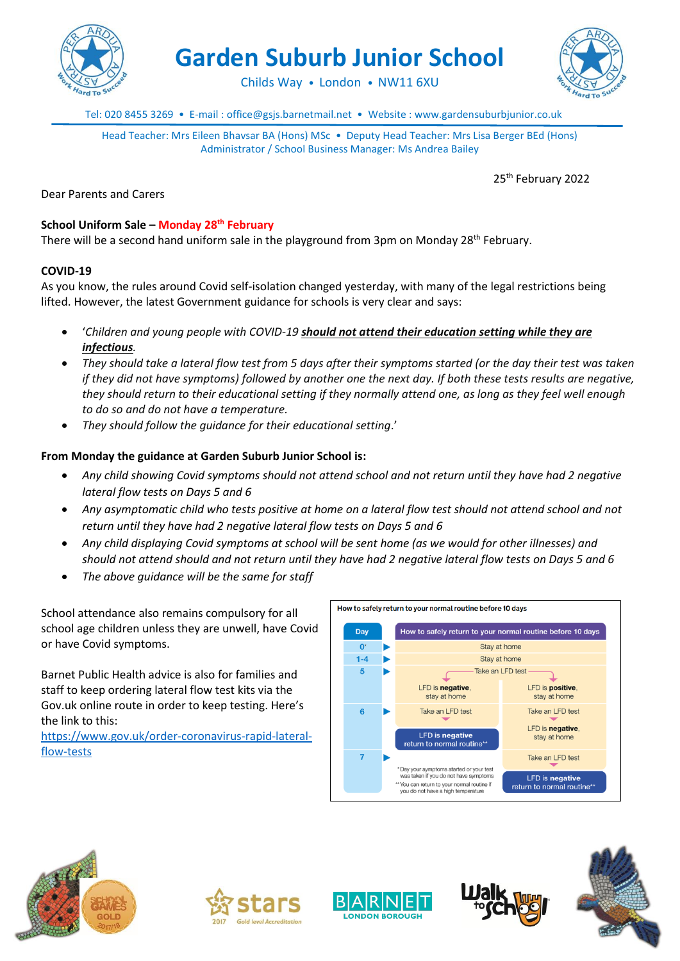

**Garden Suburb Junior School**

Childs Way • London • NW11 6XU



Tel: 020 8455 3269 • E-mail : office@gsjs.barnetmail.net • Website : www.gardensuburbjunior.co.uk

Head Teacher: Mrs Eileen Bhavsar BA (Hons) MSc • Deputy Head Teacher: Mrs Lisa Berger BEd (Hons) Administrator / School Business Manager: Ms Andrea Bailey

25<sup>th</sup> February 2022

Dear Parents and Carers

# **School Uniform Sale – Monday 28th February**

There will be a second hand uniform sale in the playground from 3pm on Monday 28<sup>th</sup> February.

## **COVID-19**

As you know, the rules around Covid self-isolation changed yesterday, with many of the legal restrictions being lifted. However, the latest Government guidance for schools is very clear and says:

- '*Children and young people with COVID-19 should not attend their education setting while they are infectious.*
- *They should take a lateral flow test from 5 days after their symptoms started (or the day their test was taken if they did not have symptoms) followed by another one the next day. If both these tests results are negative, they should return to their educational setting if they normally attend one, as long as they feel well enough to do so and do not have a temperature.*
- *They should follow the guidance for their educational setting*.'

## **From Monday the guidance at Garden Suburb Junior School is:**

- *Any child showing Covid symptoms should not attend school and not return until they have had 2 negative lateral flow tests on Days 5 and 6*
- *Any asymptomatic child who tests positive at home on a lateral flow test should not attend school and not return until they have had 2 negative lateral flow tests on Days 5 and 6*
- *Any child displaying Covid symptoms at school will be sent home (as we would for other illnesses) and should not attend should and not return until they have had 2 negative lateral flow tests on Days 5 and 6*
- *The above guidance will be the same for staff*

School attendance also remains compulsory for all school age children unless they are unwell, have Covid or have Covid symptoms.

Barnet Public Health advice is also for families and staff to keep ordering lateral flow test kits via the Gov.uk online route in order to keep testing. Here's the link to this:

[https://www.gov.uk/order-coronavirus-rapid-lateral](https://www.gov.uk/order-coronavirus-rapid-lateral-flow-tests)[flow-tests](https://www.gov.uk/order-coronavirus-rapid-lateral-flow-tests)